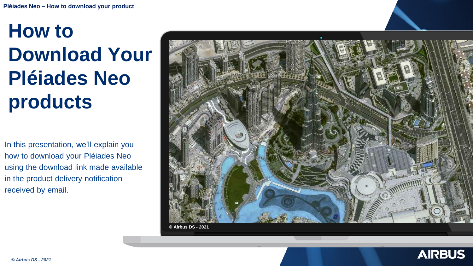## **How to Download Your Pléiades Neo products**

In this presentation, we'll explain you how to download your Pléiades Neo using the download link made available in the product delivery notification received by email.



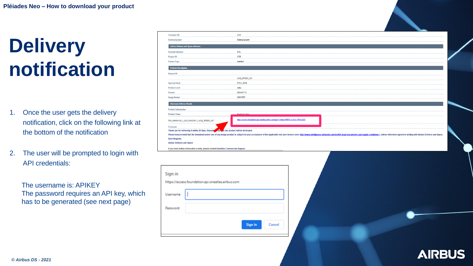## **Delivery notification**

- 1. Once the user gets the delivery notification, click on the following link at the bottom of the notification
- 2. The user will be prompted to login with API credentials:

The username is: APIKEY The password requires an API key, which has to be generated (see next page)

| <b>Customer ID</b>                                                                   | AC0                                                                                                                                                                                                                            |  |  |  |  |
|--------------------------------------------------------------------------------------|--------------------------------------------------------------------------------------------------------------------------------------------------------------------------------------------------------------------------------|--|--|--|--|
| External project                                                                     | External project                                                                                                                                                                                                               |  |  |  |  |
| Airbus Defence and Space reference                                                   |                                                                                                                                                                                                                                |  |  |  |  |
| <b>Internal reference</b>                                                            | SAL                                                                                                                                                                                                                            |  |  |  |  |
| Project ID                                                                           | CTR                                                                                                                                                                                                                            |  |  |  |  |
| License Type                                                                         | standard                                                                                                                                                                                                                       |  |  |  |  |
| <b>Product Description</b>                                                           |                                                                                                                                                                                                                                |  |  |  |  |
| Dataset ID                                                                           |                                                                                                                                                                                                                                |  |  |  |  |
| .                                                                                    | ACQ PNEO3_007                                                                                                                                                                                                                  |  |  |  |  |
| Spectral Mode                                                                        | ${\tt FULL\_PMS}$                                                                                                                                                                                                              |  |  |  |  |
| <b>Product Level</b>                                                                 | ortho                                                                                                                                                                                                                          |  |  |  |  |
| ${\bf Format}$                                                                       | $\tt{DMAPV2}$                                                                                                                                                                                                                  |  |  |  |  |
| <b>Image format</b>                                                                  | GEOTIFF                                                                                                                                                                                                                        |  |  |  |  |
| <b>Electronic Delivery Details</b>                                                   |                                                                                                                                                                                                                                |  |  |  |  |
| <b>Product Information</b>                                                           |                                                                                                                                                                                                                                |  |  |  |  |
| <b>Product Name</b><br>============                                                  | Product Link                                                                                                                                                                                                                   |  |  |  |  |
| WO_000003138_1_SAL21002385-1_ACQ_PNEO3_007<br>$- - - - - -$                          | https://access.foundation.api.oneatlas.airbus.com/api/v1/items/b0f831cc-bcc1-49c8-ad2f-                                                                                                                                        |  |  |  |  |
| $\underbrace{\textbf{Username}}_{\textbf{1}}$                                        |                                                                                                                                                                                                                                |  |  |  |  |
| Thank you for retrieving it within 20 days. Beyond                                   | per d, the product will be destroyed.                                                                                                                                                                                          |  |  |  |  |
| <b>Best Regards,</b>                                                                 | Please keep in mind that the download and/or use of any image product is subject to your acceptance of the applicable end-user licence (see: http://www.intelligence-airbusds.com/en/886-legal-documents-and-supply-conditions |  |  |  |  |
| <b>Airbus Defence and Space</b>                                                      |                                                                                                                                                                                                                                |  |  |  |  |
| If you need further information or help, please contact OneAtlas Commercial Support. |                                                                                                                                                                                                                                |  |  |  |  |
|                                                                                      |                                                                                                                                                                                                                                |  |  |  |  |
|                                                                                      |                                                                                                                                                                                                                                |  |  |  |  |
|                                                                                      |                                                                                                                                                                                                                                |  |  |  |  |
| ign in                                                                               |                                                                                                                                                                                                                                |  |  |  |  |
|                                                                                      |                                                                                                                                                                                                                                |  |  |  |  |

| Sign in                                           |                   |  |  |  |  |  |  |
|---------------------------------------------------|-------------------|--|--|--|--|--|--|
| https://access.foundation.api.oneatlas.airbus.com |                   |  |  |  |  |  |  |
| Username                                          |                   |  |  |  |  |  |  |
| Password                                          |                   |  |  |  |  |  |  |
|                                                   | Sign in<br>Cancel |  |  |  |  |  |  |

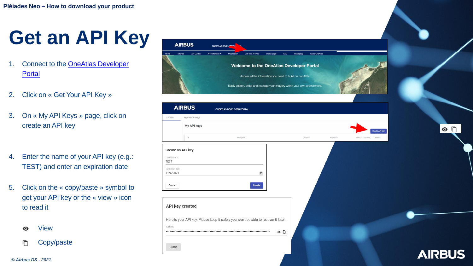## **Get an API Key**

- 1. Connect to the **OneAtlas Developer** Portal
- 2. Click on « Get Your API Key »
- 3. On « My API Keys » page, click on create an API key
- 4. Enter the name of your API key (e.g.: TEST) and enter an expiration date
- 5. Click on the « copy/paste » symbol to get your API key or the « view » icon to read it
	- View ◉
	- Copy/paste 戶



 $\circ$   $\Box$ 

*© Airbus DS - 2021*